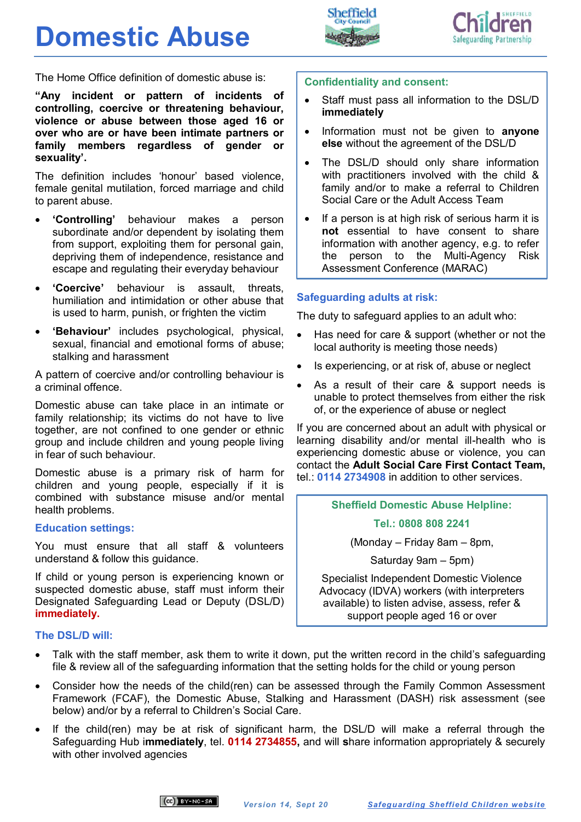## **Domestic Abuse**





The Home Office definition of domestic abuse is:

**"Any incident or pattern of incidents of controlling, coercive or threatening behaviour, violence or abuse between those aged 16 or over who are or have been intimate partners or family members regardless of gender or sexuality'.** 

The definition includes 'honour' based violence, female genital mutilation, forced marriage and child to parent abuse.

- **'Controlling'** behaviour makes a person subordinate and/or dependent by isolating them from support, exploiting them for personal gain, depriving them of independence, resistance and escape and regulating their everyday behaviour
- **'Coercive'** behaviour is assault, threats, humiliation and intimidation or other abuse that is used to harm, punish, or frighten the victim
- **'Behaviour'** includes psychological, physical, sexual, financial and emotional forms of abuse; stalking and harassment

A pattern of coercive and/or controlling behaviour is a criminal offence.

Domestic abuse can take place in an intimate or family relationship; its victims do not have to live together, are not confined to one gender or ethnic group and include children and young people living in fear of such behaviour.

Domestic abuse is a primary risk of harm for children and young people, especially if it is combined with substance misuse and/or mental health problems.

#### **Education settings:**

You must ensure that all staff & volunteers understand & follow this guidance.

If child or young person is experiencing known or suspected domestic abuse, staff must inform their Designated Safeguarding Lead or Deputy (DSL/D) **immediately.**

#### **The DSL/D will:**

- Talk with the staff member, ask them to write it down, put the written record in the child's safeguarding file & review all of the safeguarding information that the setting holds for the child or young person
- Consider how the needs of the child(ren) can be assessed through the Family Common Assessment Framework (FCAF), the Domestic Abuse, Stalking and Harassment (DASH) risk assessment (see below) and/or by a referral to Children's Social Care.
- If the child(ren) may be at risk of significant harm, the DSL/D will make a referral through the Safeguarding Hub i**mmediately**, tel. **0114 2734855,** and will **s**hare information appropriately & securely with other involved agencies

#### **Confidentiality and consent:**

- Staff must pass all information to the DSL/D **immediately**
- Information must not be given to **anyone else** without the agreement of the DSL/D
- The DSL/D should only share information with practitioners involved with the child & family and/or to make a referral to Children Social Care or the Adult Access Team
- If a person is at high risk of serious harm it is **not** essential to have consent to share information with another agency, e.g. to refer the person to the Multi-Agency Risk Assessment Conference (MARAC)

#### **Safeguarding adults at risk:**

The duty to safeguard applies to an adult who:

- Has need for care & support (whether or not the local authority is meeting those needs)
- Is experiencing, or at risk of, abuse or neglect
- As a result of their care & support needs is unable to protect themselves from either the risk of, or the experience of abuse or neglect

If you are concerned about an adult with physical or learning disability and/or mental ill-health who is experiencing domestic abuse or violence, you can contact the **Adult Social Care First Contact Team,**  tel.: **0114 2734908** in addition to other services.

#### **Sheffield Domestic Abuse Helpline:**

**Tel.: 0808 808 2241**

(Monday – Friday 8am – 8pm,

Saturday 9am – 5pm)

Specialist Independent Domestic Violence Advocacy (IDVA) workers (with interpreters available) to listen advise, assess, refer & support people aged 16 or over

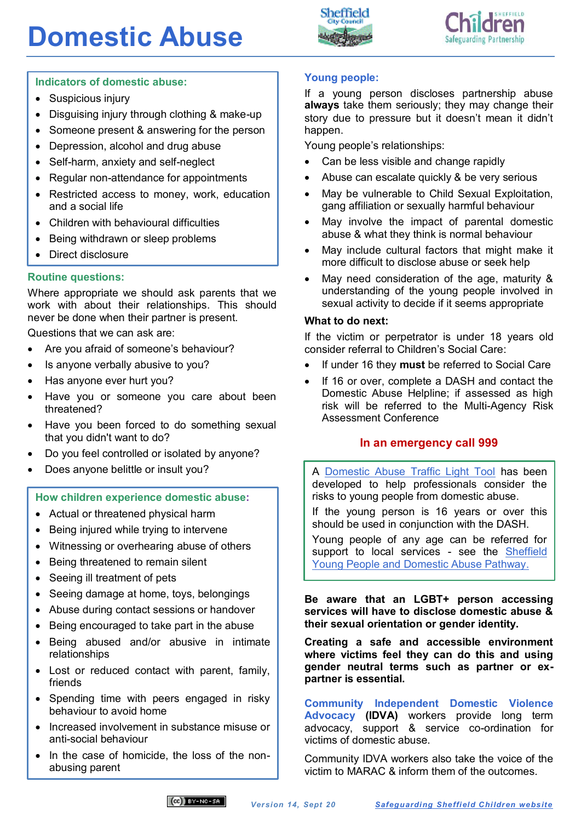# **Domestic Abuse**





## **Indicators of domestic abuse:**

- Suspicious injury
- Disguising injury through clothing & make-up
- Someone present & answering for the person
- Depression, alcohol and drug abuse
- Self-harm, anxiety and self-neglect
- Regular non-attendance for appointments
- Restricted access to money, work, education and a social life
- Children with behavioural difficulties
- Being withdrawn or sleep problems
- Direct disclosure

## **Routine questions:**

Where appropriate we should ask parents that we work with about their relationships. This should never be done when their partner is present.

Questions that we can ask are:

- Are you afraid of someone's behaviour?
- Is anyone verbally abusive to you?
- Has anyone ever hurt you?
- Have you or someone you care about been threatened?
- Have you been forced to do something sexual that you didn't want to do?
- Do you feel controlled or isolated by anyone?
- Does anyone belittle or insult you?

#### **How children experience domestic abuse:**

- Actual or threatened physical harm
- Being injured while trying to intervene
- Witnessing or overhearing abuse of others
- Being threatened to remain silent
- Seeing ill treatment of pets
- Seeing damage at home, toys, belongings
- Abuse during contact sessions or handover
- Being encouraged to take part in the abuse
- Being abused and/or abusive in intimate relationships
- Lost or reduced contact with parent, family, friends
- Spending time with peers engaged in risky behaviour to avoid home
- Increased involvement in substance misuse or anti-social behaviour
- In the case of homicide, the loss of the nonabusing parent

## **Young people:**

If a young person discloses partnership abuse **always** take them seriously; they may change their story due to pressure but it doesn't mean it didn't happen.

Young people's relationships:

- Can be less visible and change rapidly
- Abuse can escalate quickly & be very serious
- May be vulnerable to Child Sexual Exploitation, gang affiliation or sexually harmful behaviour
- May involve the impact of parental domestic abuse & what they think is normal behaviour
- May include cultural factors that might make it more difficult to disclose abuse or seek help
- May need consideration of the age, maturity & understanding of the young people involved in sexual activity to decide if it seems appropriate

#### **What to do next:**

If the victim or perpetrator is under 18 years old consider referral to Children's Social Care:

- If under 16 they **must** be referred to Social Care
- If 16 or over, complete a DASH and contact the Domestic Abuse Helpline; if assessed as high risk will be referred to the Multi-Agency Risk Assessment Conference

#### **In an emergency call 999**

A [Domestic Abuse Traffic Light Tool](http://sheffielddact.org.uk/domestic-abuse/resources/children-young-people/) has been developed to help professionals consider the risks to young people from domestic abuse.

If the young person is 16 years or over this should be used in conjunction with the DASH.

Young people of any age can be referred for support to local services - see the Sheffield [Young People and Domestic Abuse Pathway.](http://sheffielddact.org.uk/domestic-abuse/resources/children-young-people/)

**Be aware that an LGBT+ person accessing services will have to disclose domestic abuse & their sexual orientation or gender identity.** 

**Creating a safe and accessible environment where victims feel they can do this and using gender neutral terms such as partner or expartner is essential.**

**Community Independent Domestic Violence Advocacy (IDVA)** workers provide long term advocacy, support & service co-ordination for victims of domestic abuse.

Community IDVA workers also take the voice of the victim to MARAC & inform them of the outcomes.